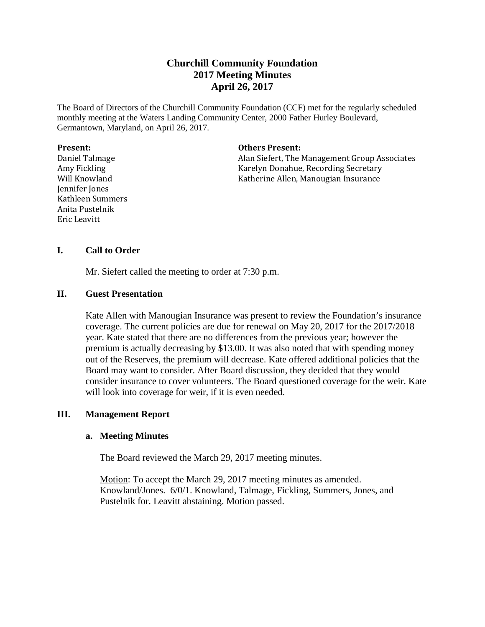# **Churchill Community Foundation 2017 Meeting Minutes April 26, 2017**

The Board of Directors of the Churchill Community Foundation (CCF) met for the regularly scheduled monthly meeting at the Waters Landing Community Center, 2000 Father Hurley Boulevard, Germantown, Maryland, on April 26, 2017.

#### **Present:**

Daniel Talmage Amy Fickling Will Knowland Jennifer Jones Kathleen Summers Anita Pustelnik Eric Leavitt

#### **Others Present:**

Alan Siefert, The Management Group Associates Karelyn Donahue, Recording Secretary Katherine Allen, Manougian Insurance

# **I. Call to Order**

Mr. Siefert called the meeting to order at 7:30 p.m.

### **II. Guest Presentation**

Kate Allen with Manougian Insurance was present to review the Foundation's insurance coverage. The current policies are due for renewal on May 20, 2017 for the 2017/2018 year. Kate stated that there are no differences from the previous year; however the premium is actually decreasing by \$13.00. It was also noted that with spending money out of the Reserves, the premium will decrease. Kate offered additional policies that the Board may want to consider. After Board discussion, they decided that they would consider insurance to cover volunteers. The Board questioned coverage for the weir. Kate will look into coverage for weir, if it is even needed.

# **III. Management Report**

### **a. Meeting Minutes**

The Board reviewed the March 29, 2017 meeting minutes.

Motion: To accept the March 29, 2017 meeting minutes as amended. Knowland/Jones. 6/0/1. Knowland, Talmage, Fickling, Summers, Jones, and Pustelnik for. Leavitt abstaining. Motion passed.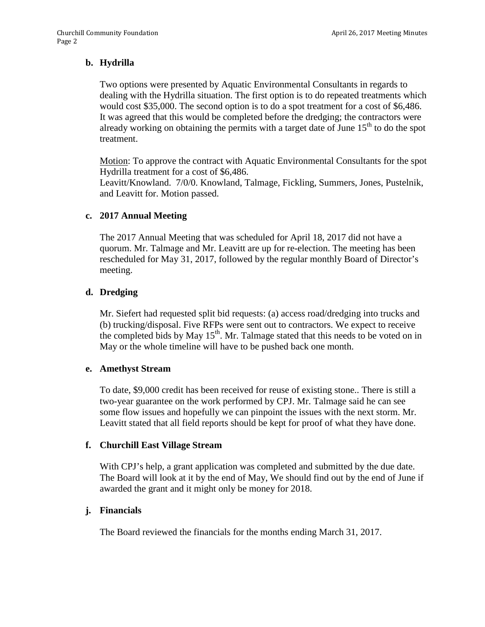# **b. Hydrilla**

Two options were presented by Aquatic Environmental Consultants in regards to dealing with the Hydrilla situation. The first option is to do repeated treatments which would cost \$35,000. The second option is to do a spot treatment for a cost of \$6,486. It was agreed that this would be completed before the dredging; the contractors were already working on obtaining the permits with a target date of June  $15<sup>th</sup>$  to do the spot treatment.

Motion: To approve the contract with Aquatic Environmental Consultants for the spot Hydrilla treatment for a cost of \$6,486.

Leavitt/Knowland. 7/0/0. Knowland, Talmage, Fickling, Summers, Jones, Pustelnik, and Leavitt for. Motion passed.

### **c. 2017 Annual Meeting**

The 2017 Annual Meeting that was scheduled for April 18, 2017 did not have a quorum. Mr. Talmage and Mr. Leavitt are up for re-election. The meeting has been rescheduled for May 31, 2017, followed by the regular monthly Board of Director's meeting.

### **d. Dredging**

Mr. Siefert had requested split bid requests: (a) access road/dredging into trucks and (b) trucking/disposal. Five RFPs were sent out to contractors. We expect to receive the completed bids by May  $15<sup>th</sup>$ . Mr. Talmage stated that this needs to be voted on in May or the whole timeline will have to be pushed back one month.

#### **e. Amethyst Stream**

To date, \$9,000 credit has been received for reuse of existing stone.. There is still a two-year guarantee on the work performed by CPJ. Mr. Talmage said he can see some flow issues and hopefully we can pinpoint the issues with the next storm. Mr. Leavitt stated that all field reports should be kept for proof of what they have done.

### **f. Churchill East Village Stream**

With CPJ's help, a grant application was completed and submitted by the due date. The Board will look at it by the end of May, We should find out by the end of June if awarded the grant and it might only be money for 2018.

### **j. Financials**

The Board reviewed the financials for the months ending March 31, 2017.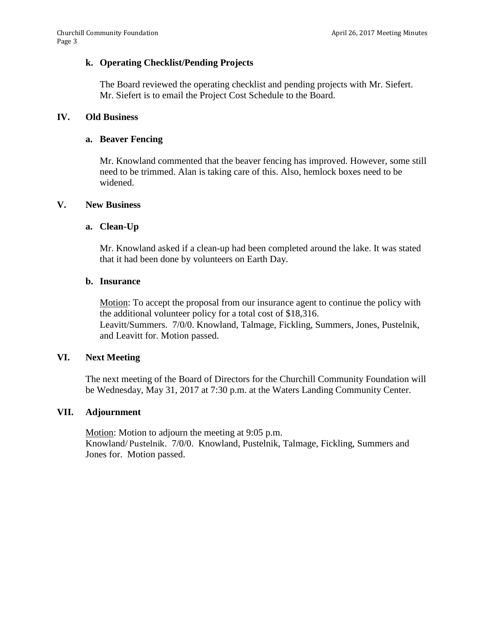# **k. Operating Checklist/Pending Projects**

The Board reviewed the operating checklist and pending projects with Mr. Siefert. Mr. Siefert is to email the Project Cost Schedule to the Board.

## **IV. Old Business**

## **a. Beaver Fencing**

Mr. Knowland commented that the beaver fencing has improved. However, some still need to be trimmed. Alan is taking care of this. Also, hemlock boxes need to be widened.

### **V. New Business**

# **a. Clean-Up**

Mr. Knowland asked if a clean-up had been completed around the lake. It was stated that it had been done by volunteers on Earth Day.

# **b. Insurance**

Motion: To accept the proposal from our insurance agent to continue the policy with the additional volunteer policy for a total cost of \$18,316. Leavitt/Summers. 7/0/0. Knowland, Talmage, Fickling, Summers, Jones, Pustelnik, and Leavitt for. Motion passed.

### **VI. Next Meeting**

The next meeting of the Board of Directors for the Churchill Community Foundation will be Wednesday, May 31, 2017 at 7:30 p.m. at the Waters Landing Community Center.

### **VII. Adjournment**

Motion: Motion to adjourn the meeting at 9:05 p.m. Knowland/ Pustelnik. 7/0/0. Knowland, Pustelnik, Talmage, Fickling, Summers and Jones for. Motion passed.